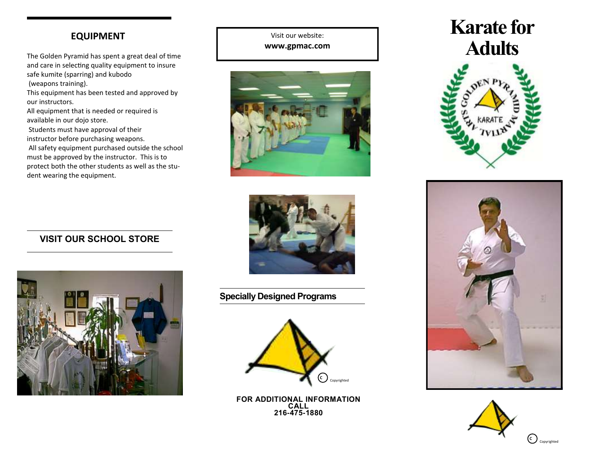## **EQUIPMENT**

The Golden Pyramid has spent a great deal of time and care in selecting quality equipment to insure safe kumite (sparring) and kubodo (weapons training).

This equipment has been tested and approved by our instructors.

All equipment that is needed or required is available in our dojo store.

Students must have approval of their instructor before purchasing weapons.

All safety equipment purchased outside the school must be approved by the instructor. This is to protect both the other students as well as the student wearing the equipment.



Visit our website:



## **VISIT OUR SCHOOL STORE**



**Specially Designed Programs**



**FOR ADDITIONAL INFORMATION CALL 216-475-1880**

# **Karate for Adults**